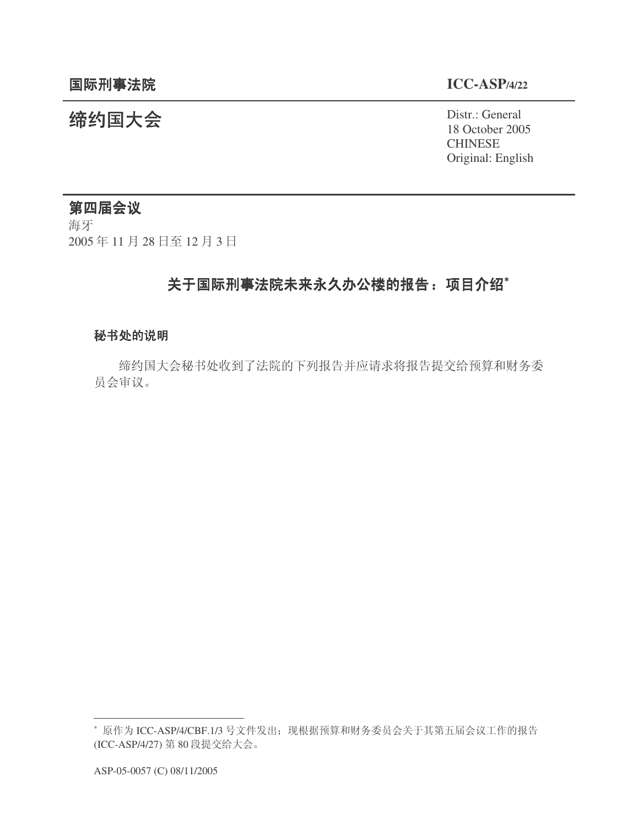㓨㑺Ӯ Distr.: General 18 October 2005 **CHINESE** Original: English

# 第四届会议

海牙 2005年11月28日至12月3日

# 关于国际刑事法院未来永久办公楼的报告: 项目介绍\*

#### 秘书处的说明

缔约国大会秘书处收到了法院的下列报告并应请求将报告提交给预算和财务委 员会审议。

<sup>\*</sup> 原作为 ICC-ASP/4/CBF.1/3 号文件发出; 现根据预算和财务委员会关于其第五届会议工作的报告 (ICC-ASP/4/27) 第80 段提交给大会。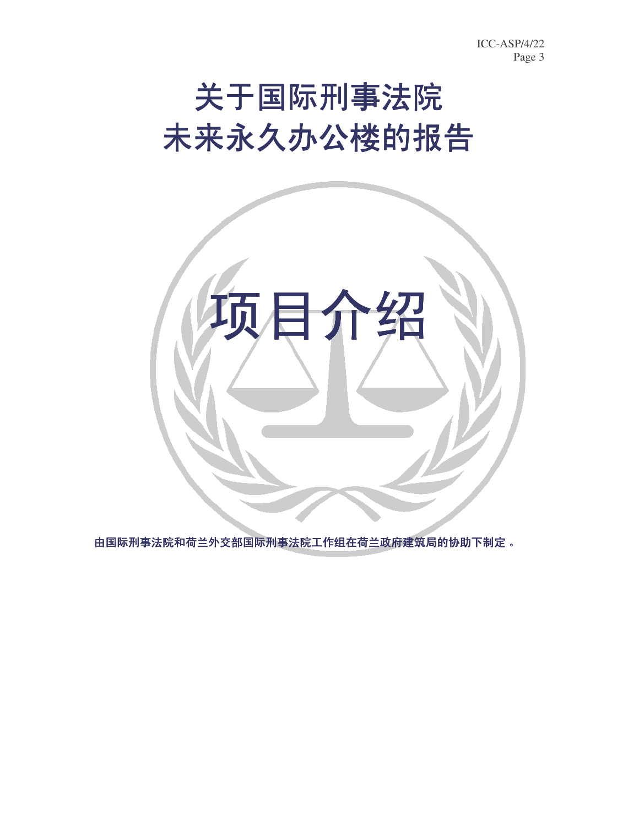# 关于国际刑事法院 未来永久办公楼的报告



由国际刑事法院工作组在荷兰政府建筑局的协助下制定。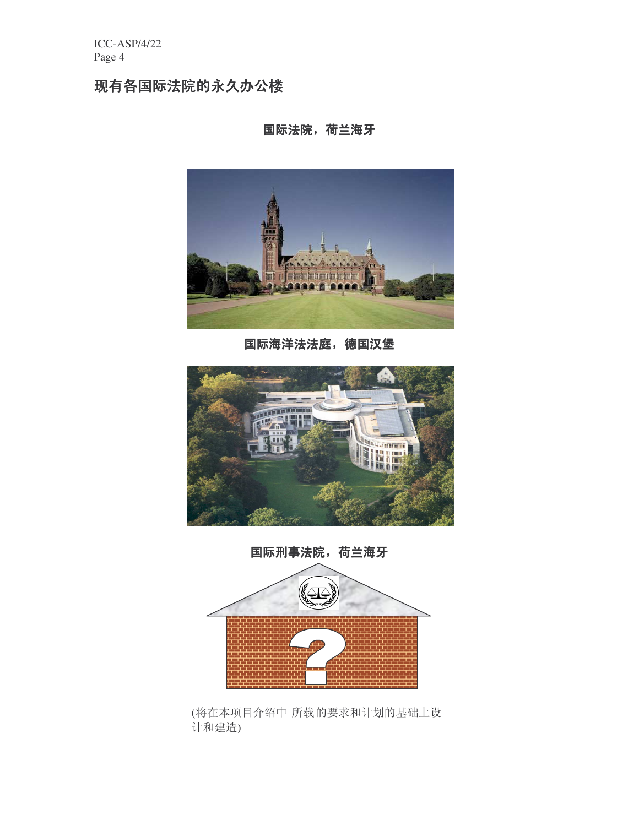# 现有各国际法院的永久办公楼

国际法院, 荷兰海牙



国际海洋法法庭,德国汉堡





(将在本项目介绍中 所载的要求和计划的基础上设 计和建造)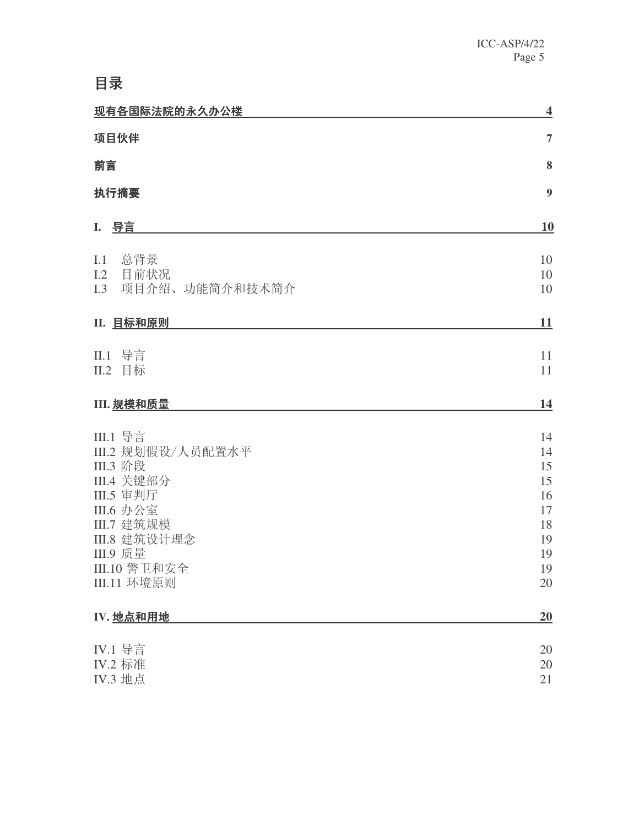# **目录**

| 现有各国际法院的永久办公楼                        | 4              |
|--------------------------------------|----------------|
| 项目伙伴                                 | $\overline{7}$ |
| 前言                                   | 8              |
| 执行摘要                                 | 9              |
| I. 导言                                | 10             |
| 总背景<br>I.1                           | 10             |
| 目前状况<br>I.2<br>项目介绍、功能简介和技术简介<br>I.3 | 10<br>10       |
|                                      |                |
| Ⅱ. 目标和原则                             | <b>11</b>      |
| II.1 导言                              | 11             |
| 目标<br>II.2                           | 11             |
| III. 规模和质量                           | 14             |
| III.1 导言                             | 14             |
| III.2 规划假设/人员配置水平                    | 14             |
| III.3 阶段<br><b>III.4 关键部分</b>        | 15<br>15       |
| <b>III.5</b> 审判厅                     | 16             |
| III.6 办公室                            | 17             |
| III.7 建筑规模                           | 18             |
| III.8 建筑设计理念<br><b>III.9 质量</b>      | 19<br>19       |
| III.10 警卫和安全                         | 19             |
| III.11 环境原则                          | 20             |
| IV. 地点和用地                            | 20             |
| IV.1 导言                              | 20             |
| IV.2 标准                              | 20             |
| IV.3 地点                              | 21             |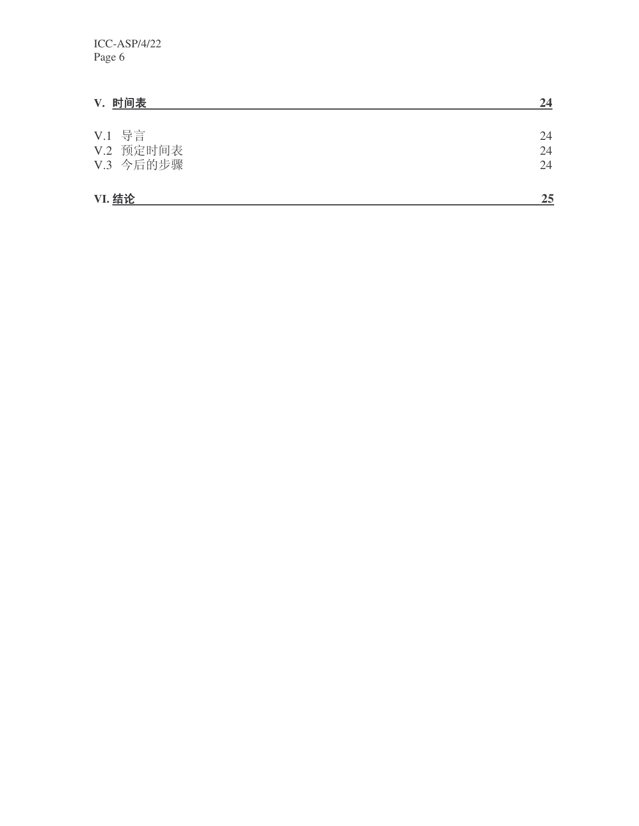| V. 时间表                           | 24             |
|----------------------------------|----------------|
| V.1 导言<br>V.2 预定时间表<br>V.3 今后的步骤 | 24<br>24<br>24 |
| <b>VI. 结论</b>                    | 25             |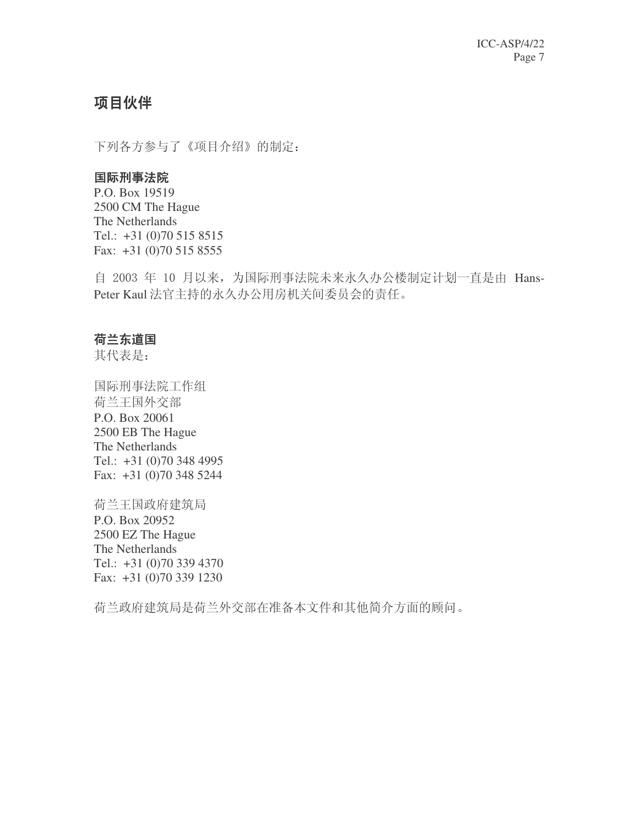# 项目伙伴

下列各方参与了《项目介绍》的制定:

#### 国际刑事法院

P.O. Box 19519 2500 CM The Hague The Netherlands Tel.: +31 (0)70 515 8515 Fax: +31 (0)70 515 8555

自 2003 年 10 月以来, 为国际刑事法院未来永久办公楼制定计划一直是由 Hans-Peter Kaul 法官主持的永久办公用房机关间委员会的责任。

#### 荷兰东道国

其代表是:

国际刑事法院工作组 荷兰王国外交部 P.O. Box 20061 2500 EB The Hague The Netherlands Tel.: +31 (0)70 348 4995 Fax: +31 (0)70 348 5244

荷兰王国政府建筑局 P.O. Box 20952 2500 EZ The Hague The Netherlands Tel.: +31 (0)70 339 4370 Fax: +31 (0)70 339 1230

荷兰政府建筑局是荷兰外交部在准备本文件和其他简介方面的顾问。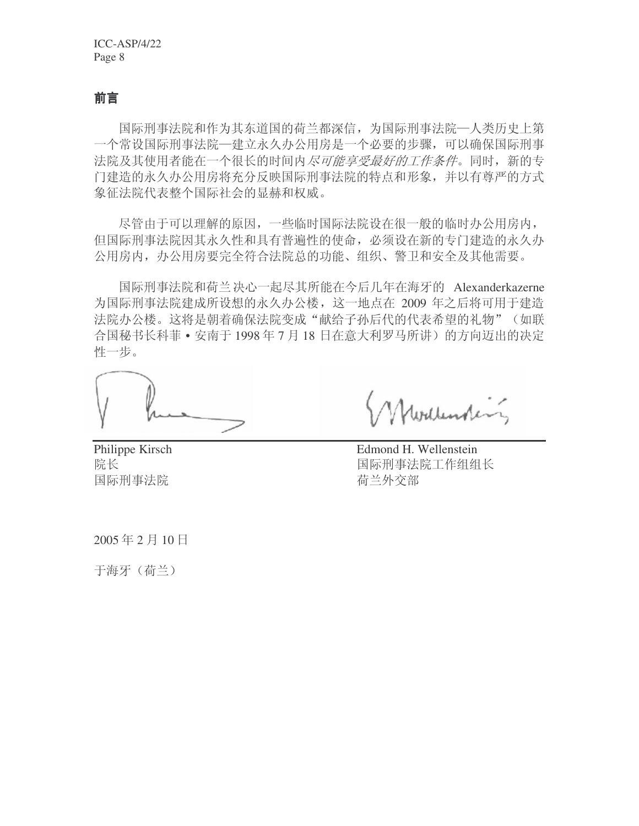# 前言

国际刑事法院和作为其东道国的荷兰都深信,为国际刑事法院─人类历史上第 一个常设国际刑事法院——建立永久办公用房是一个必要的步骤,可以确保国际刑事 法院及其使用者能在一个很长的时间内尽可能享受最好的工作条件。同时,新的专 门建造的永久办公用房将充分反映国际刑事法院的特点和形象,并以有尊严的方式 象征法院代表整个国际社会的显赫和权威。

尽管由于可以理解的原因,一些临时国际法院设在很一般的临时办公用房内, 但国际刑事法院因其永久性和具有普遍性的使命, 必须设在新的专门建造的永久办 公用房内, 办公用房要完全符合法院总的功能、组织、警卫和安全及其他需要。

国际刑事法院和荷兰决心一起尽其所能在今后几年在海牙的 Alexanderkazerne 为国际刑事法院建成所设想的永久办公楼,这一地点在 2009 年之后将可用于建造 法院办公楼。这将是朝着确保法院变成"献给子孙后代的代表希望的礼物"(如联 合国秘书长科菲 • 安南于 1998年7月18日在意大利罗马所讲)的方向迈出的决定 性一步。

国际刑事法院 荷兰外交部

Philippe Kirsch Edmond H. Wellenstein 院长 国际刑事法院工作组组长

2005年2月10日

于海牙(荷兰)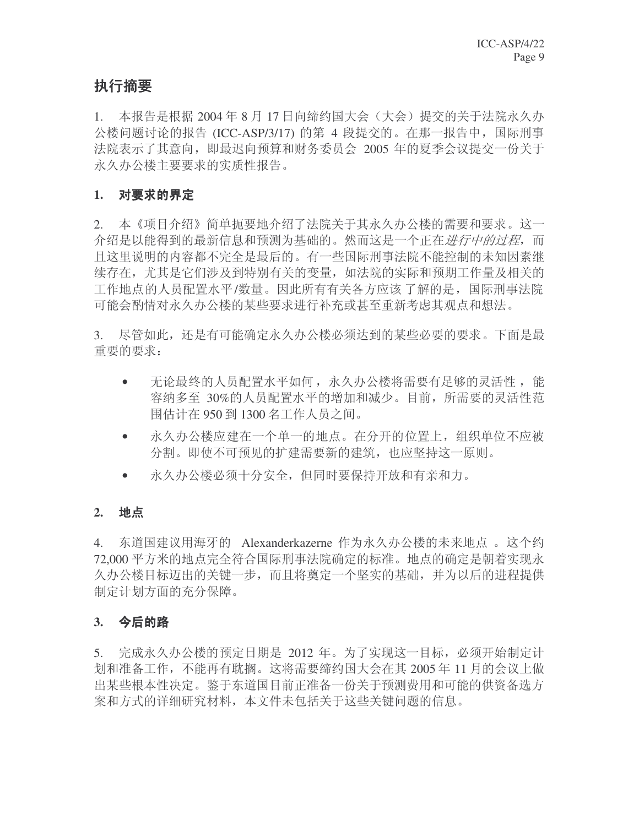# 执行摘要

1. 本报告是根据 2004 年 8 月 17 日向缔约国大会 (大会) 提交的关于法院永久办 公楼问题讨论的报告 (ICC-ASP/3/17) 的第 4 段提交的。在那一报告中, 国际刑事 法院表示了其意向,即最迟向预算和财务委员会 2005 年的夏季会议提交一份关于 永久办公楼主要要求的实质性报告。

## 1. 对要求的界定

2. 本《项目介绍》简单扼要地介绍了法院关于其永久办公楼的需要和要求。这一 介绍是以能得到的最新信息和预测为基础的。然而这是一个正在*进行中的过程*,而 且这里说明的内容都不完全是最后的。有一些国际刑事法院不能控制的未知因素继 续存在, 尤其是它们涉及到特别有关的变量, 如法院的实际和预期工作量及相关的 工作地点的人员配置水平/数量。因此所有有关各方应该 了解的是, 国际刑事法院 可能会酌情对永久办公楼的某些要求进行补充或甚至重新考虑其观点和想法。

3. 尽管如此,还是有可能确定永久办公楼必须达到的某些必要的要求。下面是最 重要的要求:

- 无论最终的人员配置水平如何, 永久办公楼将需要有足够的灵活性, 能 容纳多至 30%的人员配置水平的增加和减少。目前, 所需要的灵活性范 周估计在 950 到 1300 名工作人员之间。
- 永久办公楼应建在一个单一的地点。在分开的位置上, 组织单位不应被 分割。即使不可预见的扩建需要新的建筑,也应坚持这一原则。
- 永久办公楼必须十分安全, 但同时要保持开放和有亲和力。

#### 2. 地点

4. 东道国建议用海牙的 Alexanderkazerne 作为永久办公楼的未来地点 。这个约 72,000 平方米的地点完全符合国际刑事法院确定的标准。地点的确定是朝着实现永 久办公楼目标迈出的关键一步,而且将奠定一个坚实的基础,并为以后的进程提供 制定计划方面的充分保障。

#### 3. 今后的路

5. 宗成永久办公楼的预定日期是 2012 年。为了实现这一目标,必须开始制定计 划和准备工作,不能再有耽搁。这将需要缔约国大会在其 2005 年 11 月的会议上做 出某些根本性决定。鉴于东道国目前正准备一份关于预测费用和可能的供资备选方 案和方式的详细研究材料,本文件未包括关于这些关键问题的信息。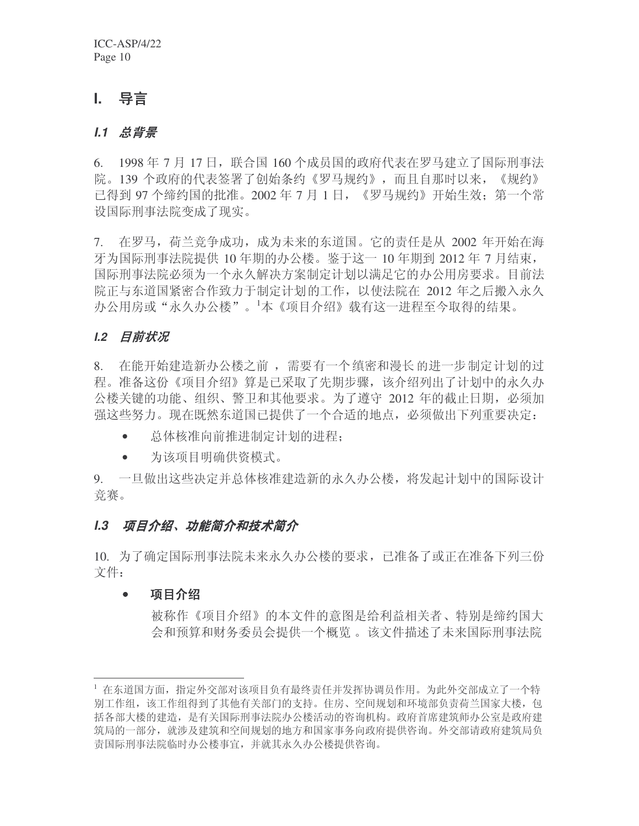# **I.** 导言

#### *I.1 总背景*

6. 1998年7月17日, 联合国160个成员国的政府代表在罗马建立了国际刑事法 院。139 个政府的代表签署了创始条约《罗马规约》,而且自那时以来,《规约》 己得到 97 个缔约国的批准。2002 年 7 月 1 日, 《罗马规约》开始生效: 第一个常 设国际刑事法院变成了现实。

7. 在罗马, 荷兰竞争成功, 成为未来的东道国。它的责任是从 2002 年开始在海 牙为国际刑事法院提供 10 年期的办公楼。鉴于这一 10 年期到 2012 年 7 月结束, 国际刑事法院必须为一个永久解决方案制定计划以满足它的办公用房要求。目前法 院正与东道国紧密合作致力于制定计划的工作,以使法院在 2012 年之后搬入永久 办公用房或"永久办公楼"。1本《项目介绍》载有这一进程至今取得的结果。

#### *I.2 目前状况*

8. 在能开始建造新办公楼之前, 需要有一个缜密和漫长的进一步制定计划的过 程。准备这份《项目介绍》算是已采取了先期步骤,该介绍列出了计划中的永久办 公楼关键的功能、组织、警卫和其他要求。为了遵守 2012 年的截止日期,必须加 强这些努力。现在既然东道国已提供了一个合适的地点, 必须做出下列重要决定:

- 总体核准向前推讲制定计划的讲程:
- 为该项目明确供资模式。

9. 一旦做出这些决定并总体核准建造新的永久办公楼,将发起计划中的国际设计 竞赛。

#### I.3 项目介绍、功能简介和技术简介

10. 为了确定国际刑事法院未来永久办公楼的要求, 已准备了或正在准备下列三份 文件:

#### • 项目介绍

被称作《项目介绍》的本文件的意图是给利益相关者、特别是缔约国大 会和预算和财务委员会提供一个概览。该文件描述了未来国际刑事法院

<sup>&</sup>lt;sup>1</sup> 在东道国方面, 指定外交部对该项目负有最终责任并发挥协调员作用。为此外交部成立了一个特 别工作组, 该工作组得到了其他有关部门的支持。住房、空间规划和环境部负责荷兰国家大楼, 包 括各部大楼的建造, 是有关国际刑事法院办公楼活动的咨询机构。政府首席建筑师办公室是政府建 筑局的一部分, 就涉及建筑和空间规划的地方和国家事务向政府提供咨询。外交部请政府建筑局负 责国际刑事法院临时办公楼事宜, 并就其永久办公楼提供咨询。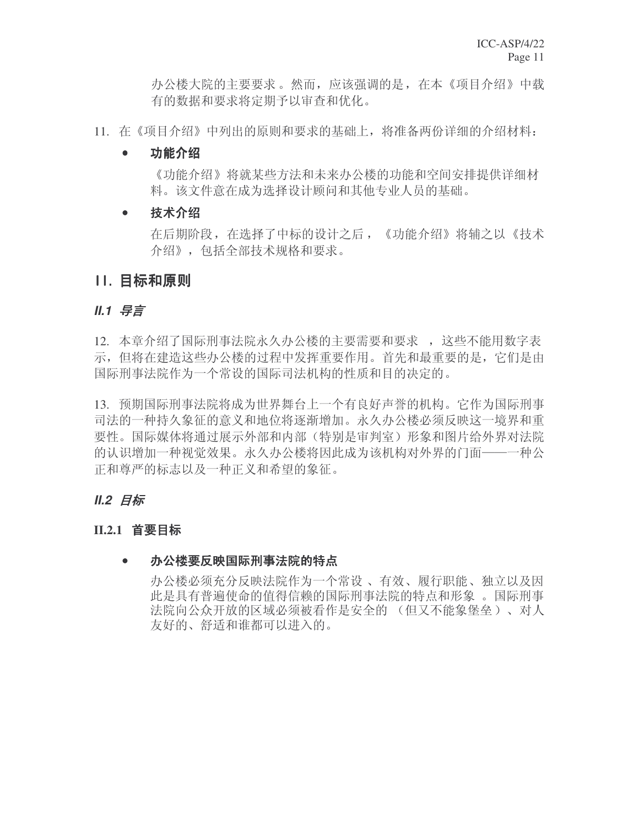办公楼大院的主要要求。然而,应该强调的是,在本《项目介绍》中载 有的数据和要求将定期予以审查和优化。

11. 在《项目介绍》中列出的原则和要求的基础上,将准备两份详细的介绍材料:

#### • 功能介绍

《功能介绍》将就某些方法和未来办公楼的功能和空间安排提供详细材 料。该文件意在成为选择设计顾问和其他专业人员的基础。

## • 技术介绍

在后期阶段, 在选择了中标的设计之后, 《功能介绍》将辅之以《技术 介绍》, 包括全部技术规格和要求。

# 11. 目标和原则

#### *II.1* ᇐ㿔

12. 本章介绍了国际刑事法院永久办公楼的主要需要和要求, 这些不能用数字表 示,但将在建造这些办公楼的过程中发挥重要作用。首先和最重要的是,它们是由 国际刑事法院作为一个常设的国际司法机构的性质和目的决定的。

13. 预期国际刑事法院将成为世界舞台上一个有良好声誉的机构。它作为国际刑事 司法的一种持久象征的意义和地位将逐渐增加。永久办公楼必须反映这一境界和重 要性。国际媒体将通过展示外部和内部(特别是审判室)形象和图片给外界对法院 的认识增加一种视觉效果。永久办公楼将因此成为该机构对外界的门面——一种公 正和尊严的标志以及一种正义和希望的象征。

# *II.2* Ⳃᷛ

#### **II.2.1 首要目标**

#### ● 办公楼要反映国际刑事法院的特点

办公楼必须充分反映法院作为一个常设、有效、履行职能、独立以及因 此是具有普遍使命的值得信赖的国际刑事法院的特点和形象 。国际刑事 法院向公众开放的区域必须被看作是安全的 (但又不能象堡垒)、对人 友好的、舒适和谁都可以进入的。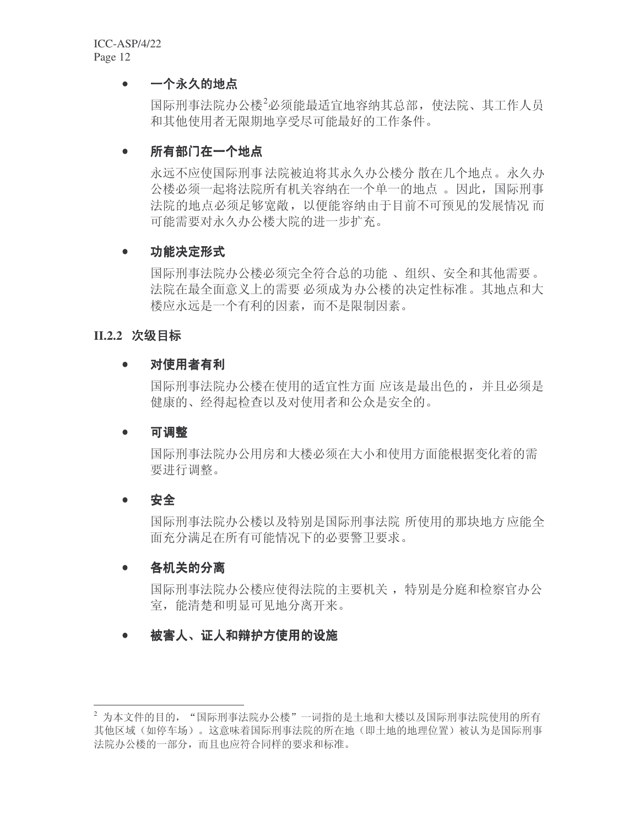#### • 一个永久的地点

国际刑事法院办公楼2必须能最适宜地容纳其总部, 使法院、其工作人员 和其他使用者无限期地享受尽可能最好的工作条件。

#### ● 所有部门在一个地点

永远不应使国际刑事法院被迫将其永久办公楼分散在几个地点。永久办 公楼必须一起将法院所有机关容纳在一个单一的地点。因此,国际刑事 法院的地点必须足够宽敞,以便能容纳由于目前不可预见的发展情况而 可能需要对永久办公楼大院的进一步扩充。

#### • 功能决定形式

国际刑事法院办公楼必须完全符合总的功能、组织、安全和其他需要。 法院在最全面意义上的需要 必须成为办公楼的决定性标准。其地点和大 楼应永远是一个有利的因素, 而不是限制因素。

#### **II.2.2 次级目标**

#### • 对使用者有利

国际刑事法院办公楼在使用的话官性方面 应该是最出色的,并且必须是 健康的、经得起检查以及对使用者和公众是安全的。

#### • 可调整

国际刑事法院办公用房和大楼必须在大小和使用方面能根据变化着的需 要进行调整。

#### • 安全

国际刑事法院办公楼以及特别是国际刑事法院 所使用的那块地方应能全 面充分满足在所有可能情况下的必要警卫要求。

#### • 各机关的分离

国际刑事法院办公楼应使得法院的主要机关, 特别是分庭和检察官办公 室, 能清楚和明显可见地分离开来。

# ● 被害人、证人和辩护方使用的设施

 $^2$  为本文件的目的, "国际刑事法院办公楼"一词指的是土地和大楼以及国际刑事法院使用的所有 其他区域(如停车场)。这意味着国际刑事法院的所在地(即土地的地理位置)被认为是国际刑事 法院办公楼的一部分,而且也应符合同样的要求和标准。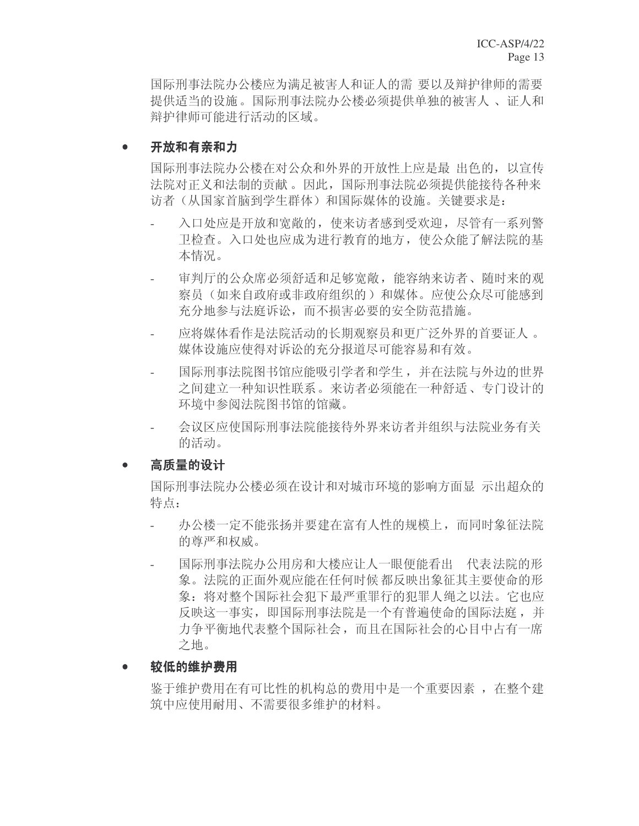国际刑事法院办公楼应为满足被害人和证人的需 要以及辩护律师的需要 提供适当的设施。国际刑事法院办公楼必须提供单独的被害人, 证人和 辩护律师可能讲行活动的区域。

#### ● 开放和有亲和力

国际刑事法院办公楼在对公众和外界的开放性上应是最 出色的,以宣传 法院对正义和法制的贡献。因此, 国际刑事法院必须提供能接待各种来 访者(从国家首脑到学生群体)和国际媒体的设施。关键要求是:

- 入口处应是开放和宽敞的, 使来访者感到受欢迎, 尽管有一系列警 卫检查。入口处也应成为进行教育的地方, 使公众能了解法院的基 本情况。
- 审判厅的公众席必须舒适和足够宽敞,能容纳来访者、随时来的观 察员(如来自政府或非政府组织的)和媒体。应使公众尽可能感到 充分地参与法庭诉讼,而不损害必要的安全防范措施。
- 应将媒体看作是法院活动的长期观察员和更广泛外界的首要证人。 媒体设施应使得对诉讼的充分报道尽可能容易和有效。
- 国际刑事法院图书馆应能吸引学者和学生, 并在法院与外边的世界 之间建立一种知识性联系。来访者必须能在一种舒适、专门设计的 环境中参阅法院图书馆的馆藏。
- 会议区应使国际刑事法院能接待外界来访者并组织与法院业务有关 的活动。

#### 高质量的设计

国际刑事法院办公楼必须在设计和对城市环境的影响方面显 示出超众的 特点:

- 办公楼一定不能张扬并要建在富有人性的规模上,而同时象征法院 的尊严和权威。
- 国际刑事法院办公用房和大楼应让人一眼便能看出 代表法院的形 象。法院的正面外观应能在任何时候都反映出象征其主要使命的形 象: 将对整个国际社会犯下最严重罪行的犯罪人绳之以法。它也应 反映这一事实, 即国际刑事法院是一个有普遍使命的国际法庭, 并 力争平衡地代表整个国际社会,而且在国际社会的心目中占有一席 之地。
- 较低的维护费用

鉴于维护费用在有可比性的机构总的费用中是一个重要因素, 在整个建 筑中应使用耐用、不需要很多维护的材料。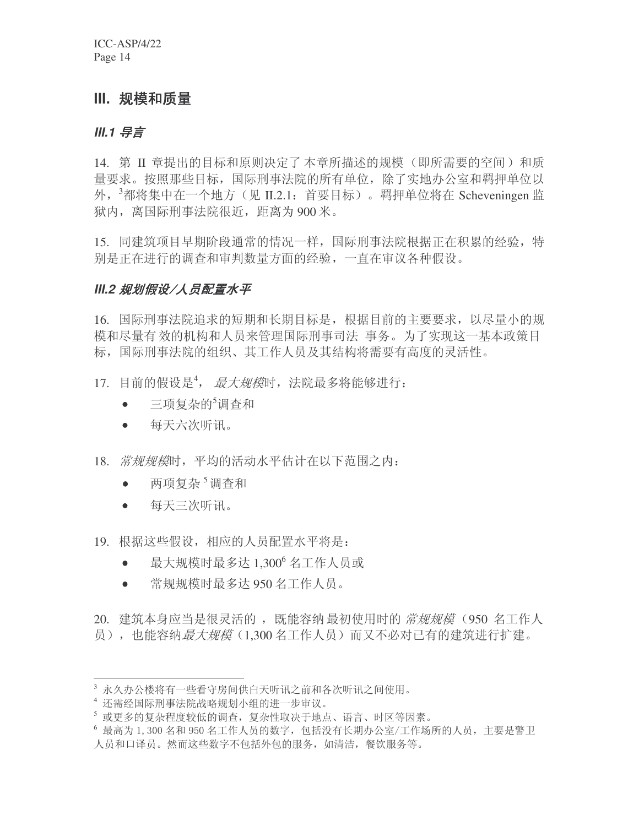# **III.** 规模和质量

#### **III.1 导言**

14. 第 II 章提出的目标和原则决定了本章所描述的规模(即所需要的空间)和质 量要求。按照那些目标, 国际刑事法院的所有单位, 除了实地办公室和羁押单位以 外, <sup>3</sup>都将集中在一个地方 (见 II.2.1: 首要目标) 。羁押单位将在 Scheveningen 监 狱内, 离国际刑事法院很近, 距离为 900 米。

15. 同建筑项目早期阶段通常的情况一样, 国际刑事法院根据正在积累的经验, 特 别是正在进行的调查和审判数量方面的经验,一直在审议各种假设。

# **III.2 规划假设/人员配置水平**

16. 国际刑事法院追求的短期和长期目标是, 根据目前的主要要求, 以尽量小的规 模和尽量有效的机构和人员来管理国际刑事司法 事务。为了实现这一基本政策目 标, 国际刑事法院的组织、其工作人员及其结构将需要有高度的灵活性。

- 17. 目前的假设是<sup>4</sup>, 最大规模时, 法院最多将能够进行:
	- $\bullet$  三项复杂的 $\delta$ 调杳和
	- 每天六次听讯。
- 18. 常规规模时, 平均的活动水平估计在以下范围之内:
	- 两项复杂<sup>5</sup>调杳和
	- 每天三次听讯。
- 19. 根据这些假设, 相应的人员配置水平将是:
	- 最大规模时最多达 1,300 $^6$  名工作人员或
	- 常规规模时最多达 950 名工作人员。

20. 建筑本身应当是很灵活的, 既能容纳最初使用时的 *常规规模* (950 名工作人 员), 也能容纳*最大规模*(1.300 名工作人员)而又不必对已有的建筑进行扩建。

<sup>3</sup> 永久办公楼将有一些看守房间供白天听讯之前和各次听讯之间使用。

<sup>4</sup> 还需经国际刑事法院战略规划小组的进一步审议。

<sup>5</sup> 或更多的复杂程度较低的调查,复杂性取决于地点、语言、时区等因素。

<sup>&</sup>lt;sup>6</sup> 最高为 1,300 名和 950 名工作人员的数字, 包括没有长期办公室/工作场所的人员, 主要是警卫 人员和口译员。然而这些数字不包括外包的服务,如清洁, 餐饮服务等。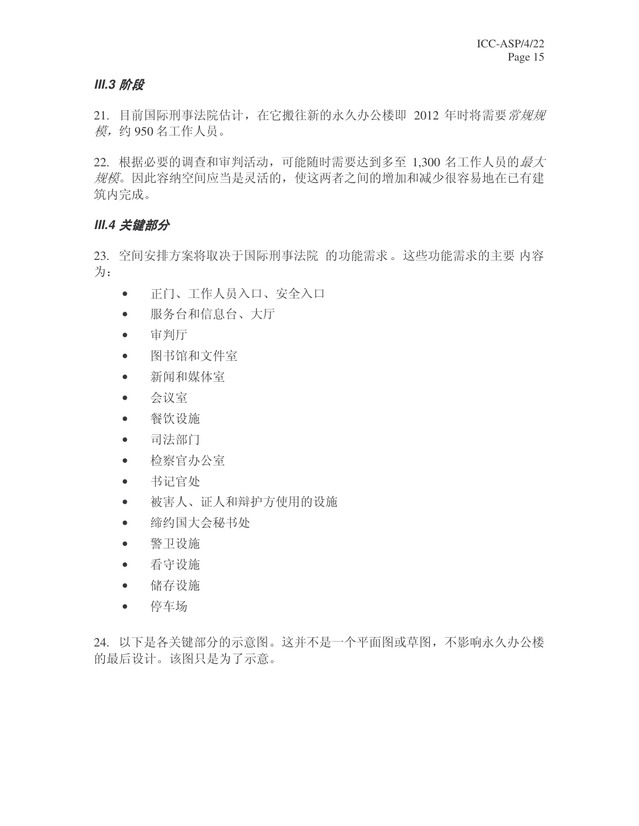#### **III.3 阶段**

21. 目前国际刑事法院估计, 在它搬往新的永久办公楼即 2012 年时将需要*常规规* 模, 约 950 名工作人员。

22. 根据必要的调查和审判活动,可能随时需要达到多至 1,300 名工作人员的*最大* 规模。因此容纳空间应当是灵活的, 使这两者之间的增加和减少很容易地在已有建 筑内完成。

#### **III.4 关键部分**

23. 空间安排方案将取决于国际刑事法院 的功能需求。这些功能需求的主要 内容 为:

- 正门、工作人员入口、安全入口
- 服务台和信息台、大厅
- $\bullet$  审判厅
- 图书馆和文件室
- 新闻和媒体室
- 会议室
- 餐饮设施
- 司法部门
- 检察官办公室
- 书记官处
- 被害人、证人和辩护方使用的设施
- 缔约国大会秘书处
- 警卫设施
- 看守设施
- 储存设施
- 停车场

24. 以下是各关键部分的示意图。这并不是一个平面图或草图, 不影响永久办公楼 的最后设计。该图只是为了示意。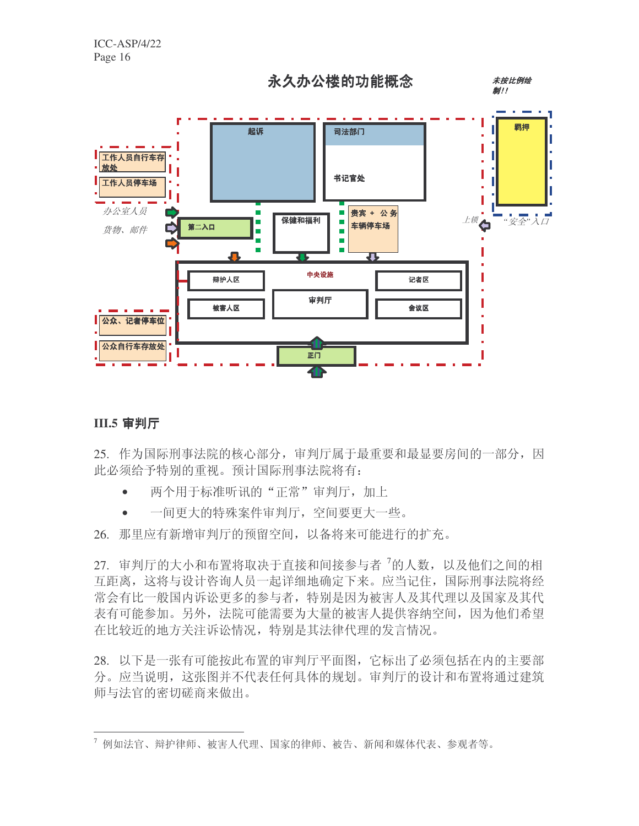

未按比例绘 制!!



# **III.5 审判厅**

25. 作为国际刑事法院的核心部分, 审判厅属于最重要和最显要房间的一部分, 因 此必须给予特别的重视。预计国际刑事法院将有:

- 两个用于标准听讯的"正常"审判厅,加上
- 一间更大的特殊案件审判厅, 空间要更大一些。

26. 那里应有新增审判厅的预留空间, 以备将来可能进行的扩充。

27. 审判厅的大小和布置将取决于直接和间接参与者<sup>7</sup>的人数, 以及他们之间的相 互距离,这将与设计咨询人员一起详细地确定下来。应当记住,国际刑事法院将经 常会有比一般国内诉讼更多的参与者,特别是因为被害人及其代理以及国家及其代 表有可能参加。另外, 法院可能需要为大量的被害人提供容纳空间, 因为他们希望 在比较近的地方关注诉讼情况, 特别是其法律代理的发言情况。

28. 以下是一张有可能按此布置的审判厅平面图, 它标出了必须包括在内的主要部 分。应当说明, 这张图并不代表任何具体的规划。审判厅的设计和布置将通过建筑 师与法官的密切磋商来做出。

 $^7$ 例如法官、辩护律师、被害人代理、国家的律师、被告、新闻和媒体代表、参观者等。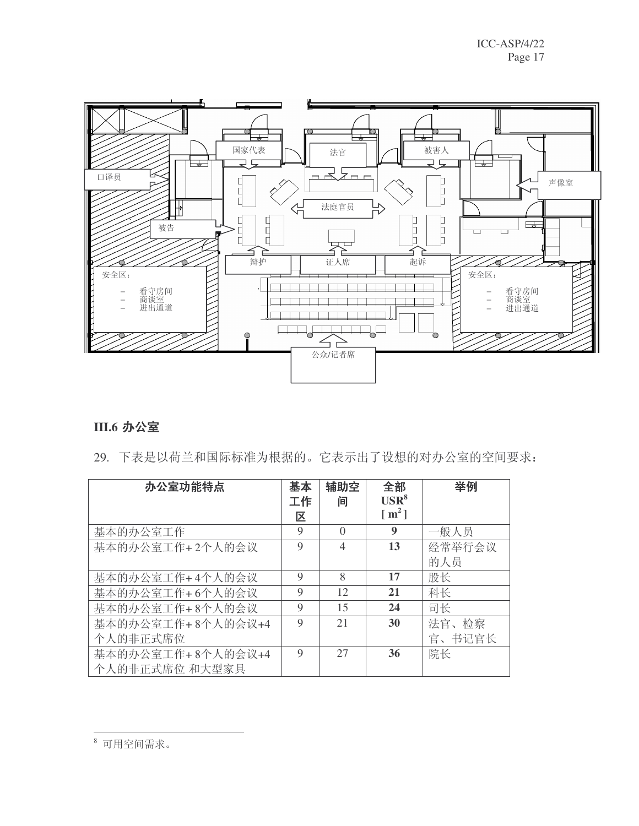

# **III.6 办公室**

29. 下表是以荷兰和国际标准为根据的。它表示出了设想的对办公室的空间要求:

| 办公室功能特点           | 基本<br>工作<br>区 | 辅助空<br>间         | 全部<br>$USR^8$<br>$\lceil m^2 \rceil$ | 举例     |
|-------------------|---------------|------------------|--------------------------------------|--------|
| 基本的办公室工作          | 9             | $\left( \right)$ | 9                                    | 一般人员   |
| 基本的办公室工作+2个人的会议   | 9             | $\overline{4}$   | 13                                   | 经常举行会议 |
|                   |               |                  |                                      | 的人员    |
| 基本的办公室工作+4个人的会议   | 9             | 8                | 17                                   | 股长     |
| 基本的办公室工作+6个人的会议   | 9             | 12               | 21                                   | 科长     |
| 基本的办公室工作+8个人的会议   | 9             | 15               | 24                                   | 司长     |
| 基本的办公室工作+8个人的会议+4 | 9             | 21               | 30                                   | 法官、检察  |
| 个人的非正式席位          |               |                  |                                      | 官、书记官长 |
| 基本的办公室工作+8个人的会议+4 | 9             | 27               | 36                                   | 院长     |
| 个人的非正式席位 和大型家具    |               |                  |                                      |        |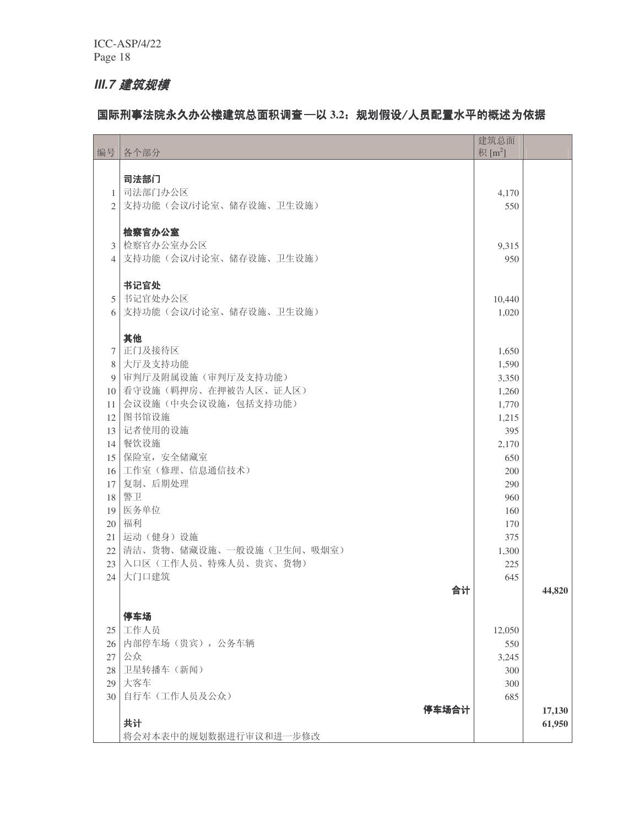# **III.7 建筑规模**

## 国际刑事法院永久办公楼建筑总面积调查 - 以 3.2: 规划假设/人员配置水平的概述为依据

| 编号              | 各个部分                          | 建筑总面<br>积 $[m^2]$ |                  |
|-----------------|-------------------------------|-------------------|------------------|
|                 | 司法部门                          |                   |                  |
| $\mathbf{1}$    | 司法部门办公区                       | 4,170             |                  |
| 2               | 支持功能(会议/讨论室、储存设施、卫生设施)        | 550               |                  |
|                 |                               |                   |                  |
|                 | 检察官办公室                        |                   |                  |
| $\mathfrak{Z}$  | 检察官办公室办公区                     | 9,315             |                  |
| 4               | 支持功能(会议/讨论室、储存设施、卫生设施)        | 950               |                  |
|                 | 书记官处                          |                   |                  |
| 5               | 书记官处办公区                       | 10,440            |                  |
| 6               | 支持功能(会议/讨论室、储存设施、卫生设施)        | 1,020             |                  |
|                 | 其他                            |                   |                  |
| $7\phantom{.0}$ | 正门及接待区                        | 1,650             |                  |
| 8               | 大厅及支持功能                       | 1,590             |                  |
| 9               | 审判厅及附属设施(审判厅及支持功能)            | 3,350             |                  |
|                 | 10 看守设施(羁押房、在押被告人区、证人区)       | 1,260             |                  |
| 11 <sup>1</sup> | 会议设施(中央会议设施,包括支持功能)           | 1,770             |                  |
| 12 <sup>1</sup> | 图书馆设施                         | 1,215             |                  |
| 13 <sup>1</sup> | 记者使用的设施<br>餐饮设施               | 395               |                  |
| 14<br>15        | 保险室, 安全储藏室                    | 2,170<br>650      |                  |
| 16 <sup>1</sup> | 工作室(修理、信息通信技术)                | 200               |                  |
| 17              | 复制、后期处理                       | 290               |                  |
| 18              | 警卫                            | 960               |                  |
| 19              | 医务单位                          | 160               |                  |
| 20 <sup>1</sup> | 福利                            | 170               |                  |
|                 | 21 运动(健身)设施                   | 375               |                  |
|                 | 22   清洁、货物、储藏设施、一般设施(卫生间、吸烟室) | 1,300             |                  |
|                 | 23 入口区(工作人员、特殊人员、贵宾、货物)       | 225               |                  |
| 24              | 大门口建筑                         | 645               |                  |
|                 | 合计                            |                   | 44,820           |
|                 | 停车场                           |                   |                  |
| 25 <sub>1</sub> | 工作人员                          | 12,050            |                  |
| 26 l            | 内部停车场(贵宾),公务车辆                | 550               |                  |
| 27              | 公众                            | 3,245             |                  |
| 28              | 卫星转播车(新闻)                     | 300               |                  |
| 29              | 大客车                           | 300               |                  |
| 30              | 自行车(工作人员及公众)                  | 685               |                  |
|                 | 停车场合计<br>共计                   |                   | 17,130<br>61,950 |
|                 | 将会对本表中的规划数据进行审议和进一步修改         |                   |                  |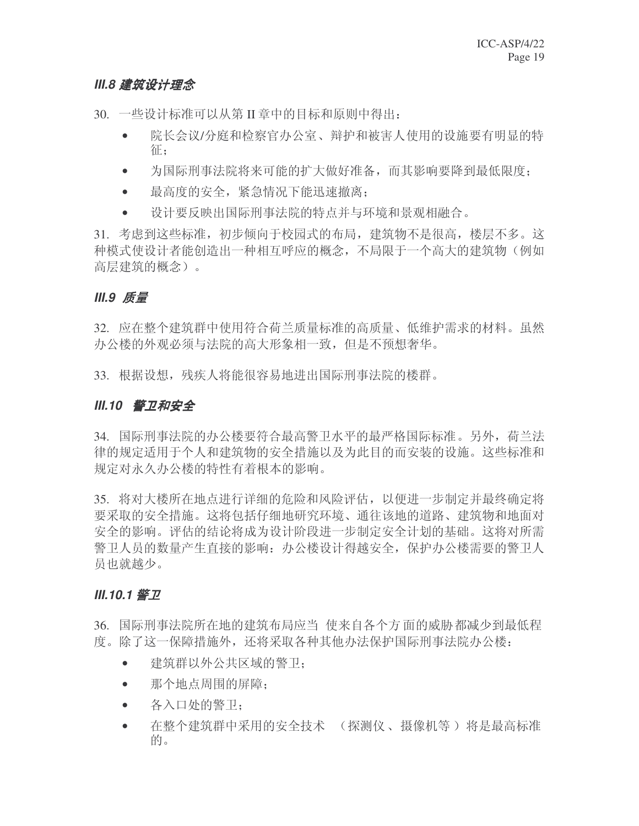## *III.8 建筑设计理念*

30. 一些设计标准可以从第 II 章中的目标和原则中得出:

- 院长会议/分庭和检察官办公室、辩护和被害人使用的设施要有明显的特 征:
- 为国际刑事法院将来可能的扩大做好准备,而其影响要降到最低限度:
- 最高度的安全,紧急情况下能迅速撤离:
- 设计要反映出国际刑事法院的特点并与环境和景观相融合。

31. 考虑到这些标准,初步倾向于校园式的布局,建筑物不是很高,楼层不多。这 种模式使设计者能创造出一种相互呼应的概念, 不局限于一个高大的建筑物(例如 高层建筑的概念)。

## **III.9 质量**

32. 应在整个建筑群中使用符合荷兰质量标准的高质量、低维护需求的材料。虽然 办公楼的外观必须与法院的高大形象相一致,但是不预想奢华。

33. 根据设想, 残疾人将能很容易地讲出国际刑事法院的楼群。

## *III.10 警卫和安全*

34. 国际刑事法院的办公楼要符合最高警卫水平的最严格国际标准。另外, 荷兰法 律的规定适用于个人和建筑物的安全措施以及为此目的而安装的设施。这些标准和 规定对永久办公楼的特性有着根本的影响。

35. 将对大楼所在地点进行详细的危险和风险评估, 以便进一步制定并最终确定将 要采取的安全措施。这将包括仔细地研究环境、通往该地的道路、建筑物和地面对 安全的影响。评估的结论将成为设计阶段进一步制定安全计划的基础。这将对所需 警卫人员的数量产生直接的影响: 办公楼设计得越安全, 保护办公楼需要的警卫人 员也就越少。

#### *III.10.1 警卫*

36. 国际刑事法院所在地的建筑布局应当 使来自各个方面的威胁都减少到最低程 度。除了这一保障措施外,还将采取各种其他办法保护国际刑事法院办公楼:

- 建筑群以外公共区域的警卫:
- 那个地点周围的屏障:
- 各入口处的警卫:
- 在整个建筑群中采用的安全技术 (探测仪、摄像机等)将是最高标准 的。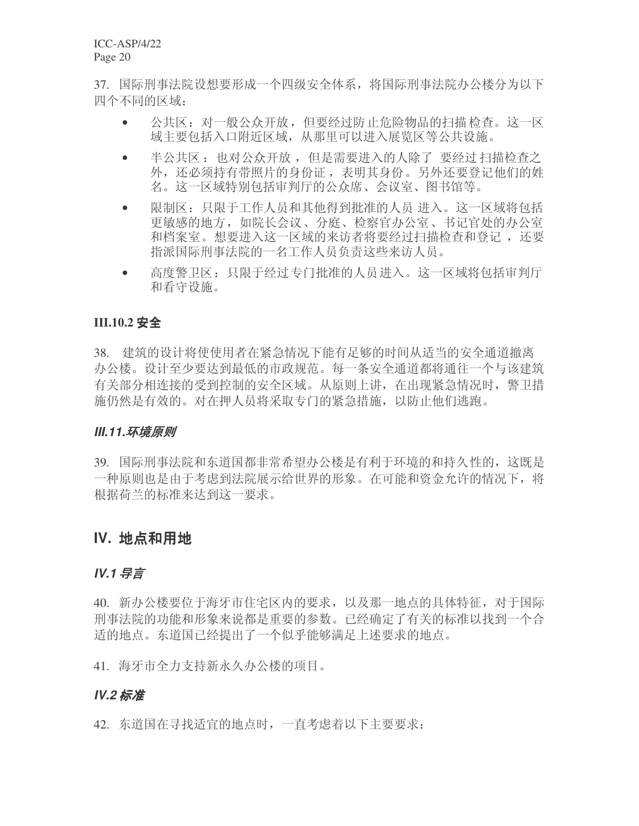37. 国际刑事法院设想要形成一个四级安全体系,将国际刑事法院办公楼分为以下 四个不同的区域:

- 公共区: 对一般公众开放, 但要经过防止危险物品的扫描检查。这一区 域主要包括入口附近区域, 从那里可以进入展览区等公共设施。
- 半公共区: 也对公众开放, 但是需要进入的人除了 要经过扫描检查之 外, 还必须持有带照片的身份证, 表明其身份。另外还要登记他们的姓 名。这一区域特别包括审判厅的公众席、会议室、图书馆等。
- 限制区:只限于工作人员和其他得到批准的人员 讲入。这一区域将包括 更敏感的地方,如院长会议、分庭、检察官办公室、书记官处的办公室 和档案室。想要进入这一区域的来访者将要经过扫描检杳和登记, 还要 指派国际刑事法院的一名工作人员负责这些来访人员。
- 高度警卫区: 只限于经过专门批准的人员进入。这一区域将包括审判厅 和看守设施。

#### **III.10.2 安全**

38. 建筑的设计将使使用者在紧急情况下能有足够的时间从活当的安全通道撤离 办公楼。设计至少要达到最低的市政规范。每一条安全通道都将通往一个与该建筑 有关部分相连接的受到控制的安全区域。从原则上讲, 在出现紧急情况时, 警卫措 施仍然是有效的。对在押人员将采取专门的紧急措施,以防止他们逃跑。

#### **III.11.环境原则**

39. 国际刑事法院和东道国都非常希望办公楼是有利于环境的和持久性的, 这既是 一种原则也是由于考虑到法院展示给世界的形象。在可能和资金允许的情况下, 将 根据荷兰的标准来达到这一要求。

#### **IV. 地点和用地**

#### **IV.1 导言**

40. 新办公楼要位于海牙市住宅区内的要求, 以及那一地点的具体特征, 对于国际 刑事法院的功能和形象来说都是重要的参数。已经确定了有关的标准以找到一个合 适的地点。东道国已经提出了一个似乎能够满足上述要求的地点。

41. 海牙市全力支持新永久办公楼的项目。

#### **IV.2 标准**

42. 东道国在寻找适宜的地点时, 一直考虑着以下主要要求: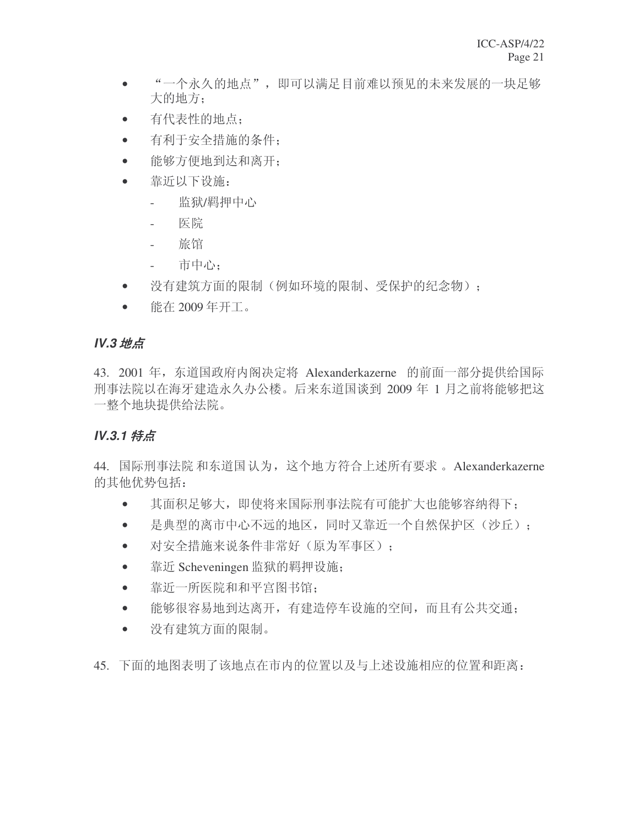- "一个永久的地点", 即可以满足目前难以预见的未来发展的一块足够 大的地方:
- 有代表性的地点:
- 有利于安全措施的条件:
- 能够方便地到达和离开:
- 靠近以下设施:
	- 监狱/羁押中心
	- 医院
	- 旅馆
	- 市中心:
- 没有建筑方面的限制(例如环境的限制、受保护的纪念物):
- 能在 2009年开工。

# **IV.3** 地点

43. 2001 年, 东道国政府内阁决定将 Alexanderkazerne 的前面一部分提供给国际 刑事法院以在海牙建造永久办公楼。后来东道国谈到 2009 年 1 月之前将能够把这 一整个地块提供给法院。

# *IV.3.1 特点*

44. 国际刑事法院和东道国认为, 这个地方符合上述所有要求。Alexanderkazerne 的其他优势包括:

- 其面积足够大,即使将来国际刑事法院有可能扩大也能够容纳得下:
- 是典型的离市中心不远的地区,同时又靠近一个自然保护区(沙丘):
- 对安全措施来说条件非常好 (原为军事区):
- 靠近 Scheveningen 监狱的羁押设施;
- 靠近一所医院和和平宫图书馆:
- 能够很容易地到达离开,有建造停车设施的空间,而且有公共交通:
- 没有建筑方面的限制。
- 45. 下面的地图表明了该地点在市内的位置以及与上述设施相应的位置和距离: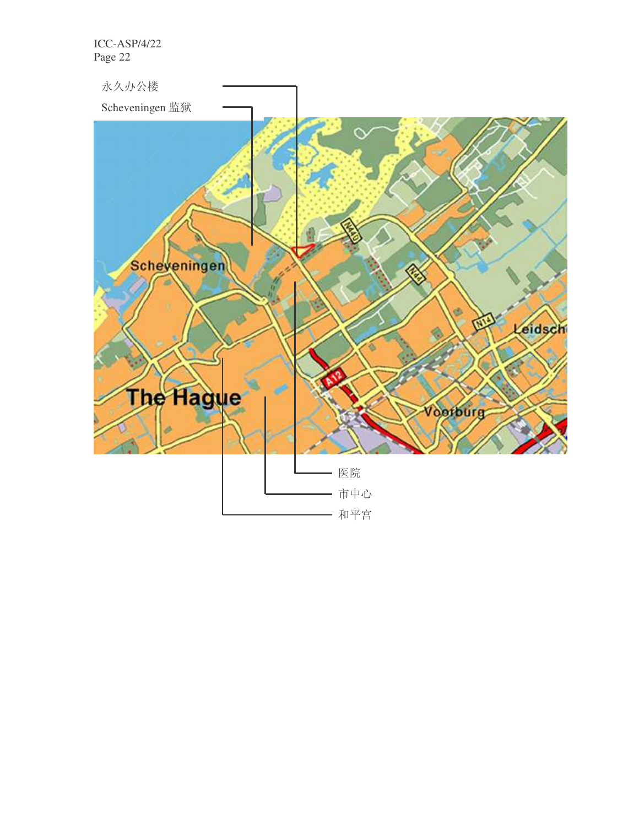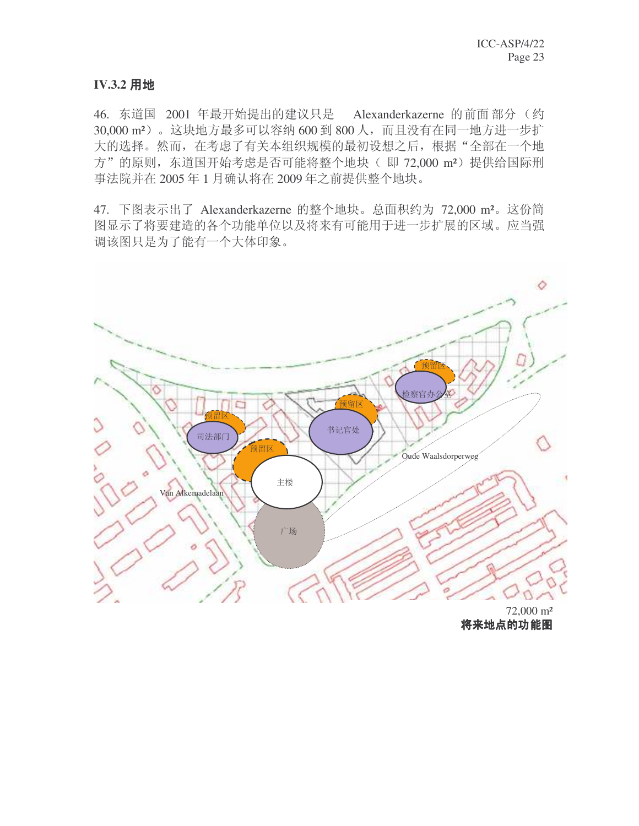#### **IV.3.2 用地**

46. 东道国 2001 年最开始提出的建议只是 Alexanderkazerne 的前面部分 (约 30,000 m<sup>2</sup>)。这块地方最多可以容纳 600 到 800 人, 而且没有在同一地方进一步扩 大的选择。然而, 在考虑了有关本组织规模的最初设想之后, 根据"全部在一个地 方"的原则, 东道国开始考虑是否可能将整个地块(即 72,000 m<sup>2</sup>)提供给国际刑 事法院并在 2005 年 1 月确认将在 2009 年之前提供整个地块。

47. 下图表示出了 Alexanderkazerne 的整个地块。总面积约为 72,000 m<sup>2</sup>。这份简 图显示了将要建造的各个功能单位以及将来有可能用于进一步扩展的区域。应当强 调该图只是为了能有一个大体印象。



72,000 m² 将来地点的功能图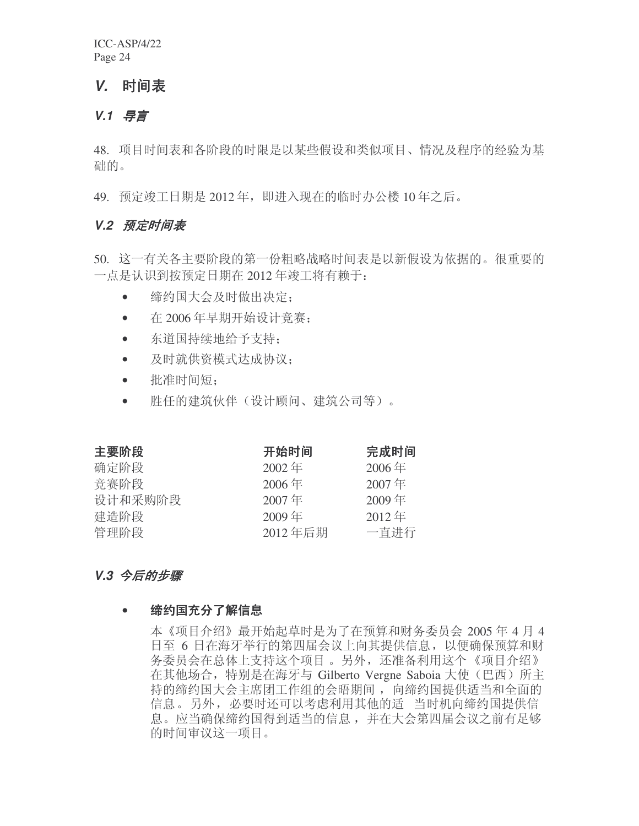## **V.** 时间表

#### *V.1* ᇐ㿔

48. 项目时间表和各阶段的时限是以某些假设和类似项目、情况及程序的经验为基 础的。

49. 预定竣工日期是 2012 年, 即进入现在的临时办公楼 10 年之后。

#### **V.2 预定时间表**

- 50. 这一有关各主要阶段的第一份粗略战略时间表是以新假设为依据的。很重要的 一点是认识到按预定日期在 2012年竣工将有赖于:
	- 缔约国大会及时做出决定:
	- $\div$  在 2006年早期开始设计竞赛:
	- 东道国持续地给予支持;
	- 及时就供资模式达成协议:
	- 批准时间短:
	- 胜任的建筑伙伴(设计顾问、建筑公司等)。

| 主要阶段    | 开始时间     | 完成时间     |
|---------|----------|----------|
| 确定阶段    | $2002$ 年 | $2006$ 年 |
| 竞赛阶段    | $2006$ 年 | 2007年    |
| 设计和采购阶段 | 2007年    | $2009$ 年 |
| 建造阶段    | $2009$ 年 | $2012$ 年 |
| 管理阶段    | 2012年后期  | 一直进行     |

#### V.3 今后的步骤

#### • 缔约国充分了解信息

本《项目介绍》最开始起草时是为了在预算和财务委员会 2005年4月4 日至 6 日在海牙举行的第四届会议上向其提供信息, 以便确保预算和财 务委员会在总体上支持这个项目。另外, 还准备利用这个《项目介绍》 在其他场合, 特别是在海牙与 Gilberto Vergne Saboia 大使(巴西) 所主 持的缔约国大会主席团工作组的会晤期间, 向缔约国提供适当和全面的 信息。另外, 必要时还可以考虑利用其他的适 当时机向缔约国提供信 息。应当确保缔约国得到适当的信息, 并在大会第四届会议之前有足够 的时间审议这一项目。